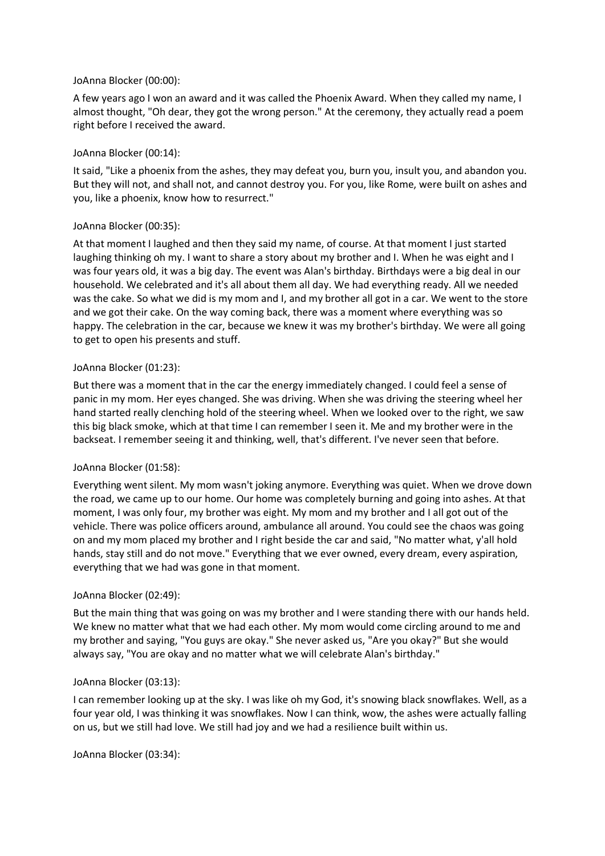### JoAnna Blocker (00:00):

A few years ago I won an award and it was called the Phoenix Award. When they called my name, I almost thought, "Oh dear, they got the wrong person." At the ceremony, they actually read a poem right before I received the award.

### JoAnna Blocker (00:14):

It said, "Like a phoenix from the ashes, they may defeat you, burn you, insult you, and abandon you. But they will not, and shall not, and cannot destroy you. For you, like Rome, were built on ashes and you, like a phoenix, know how to resurrect."

### JoAnna Blocker (00:35):

At that moment I laughed and then they said my name, of course. At that moment I just started laughing thinking oh my. I want to share a story about my brother and I. When he was eight and I was four years old, it was a big day. The event was Alan's birthday. Birthdays were a big deal in our household. We celebrated and it's all about them all day. We had everything ready. All we needed was the cake. So what we did is my mom and I, and my brother all got in a car. We went to the store and we got their cake. On the way coming back, there was a moment where everything was so happy. The celebration in the car, because we knew it was my brother's birthday. We were all going to get to open his presents and stuff.

#### JoAnna Blocker (01:23):

But there was a moment that in the car the energy immediately changed. I could feel a sense of panic in my mom. Her eyes changed. She was driving. When she was driving the steering wheel her hand started really clenching hold of the steering wheel. When we looked over to the right, we saw this big black smoke, which at that time I can remember I seen it. Me and my brother were in the backseat. I remember seeing it and thinking, well, that's different. I've never seen that before.

### JoAnna Blocker (01:58):

Everything went silent. My mom wasn't joking anymore. Everything was quiet. When we drove down the road, we came up to our home. Our home was completely burning and going into ashes. At that moment, I was only four, my brother was eight. My mom and my brother and I all got out of the vehicle. There was police officers around, ambulance all around. You could see the chaos was going on and my mom placed my brother and I right beside the car and said, "No matter what, y'all hold hands, stay still and do not move." Everything that we ever owned, every dream, every aspiration, everything that we had was gone in that moment.

### JoAnna Blocker (02:49):

But the main thing that was going on was my brother and I were standing there with our hands held. We knew no matter what that we had each other. My mom would come circling around to me and my brother and saying, "You guys are okay." She never asked us, "Are you okay?" But she would always say, "You are okay and no matter what we will celebrate Alan's birthday."

#### JoAnna Blocker (03:13):

I can remember looking up at the sky. I was like oh my God, it's snowing black snowflakes. Well, as a four year old, I was thinking it was snowflakes. Now I can think, wow, the ashes were actually falling on us, but we still had love. We still had joy and we had a resilience built within us.

JoAnna Blocker (03:34):